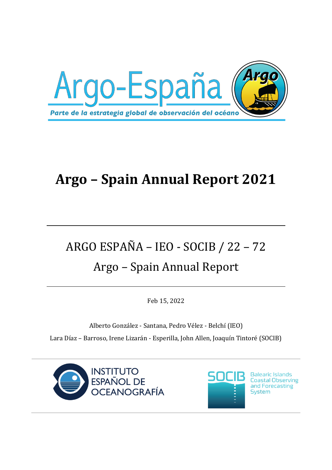

## **Argo – Spain Annual Report 2021**

# ARGO ESPAÑA – IEO - SOCIB / 22 – 72 Argo – Spain Annual Report

Feb 15, 2022

Alberto González - Santana, Pedro Vélez - Belchí (IEO) Lara Díaz – Barroso, Irene Lizarán - Esperilla, John Allen, Joaquín Tintoré (SOCIB)





**Balearic Islands Coastal Observing** and Forecasting **System**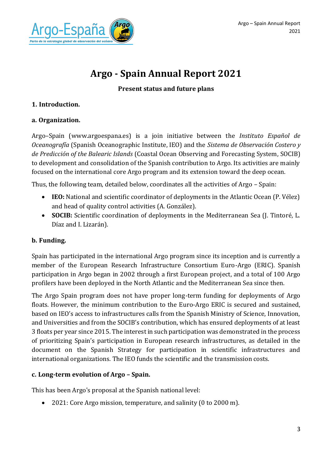

### **Argo - Spain Annual Report 2021**

#### **Present status and future plans**

#### **1. Introduction.**

#### **a. Organization.**

Argo–Spain [\(www.argoespana.es\)](http://www.argoespana.es/) is a join initiative between the *Instituto Español de Oceanografía* (Spanish Oceanographic Institute, IEO) and the *Sistema de Observación Costero y de Predicción of the Balearic Islands* (Coastal Ocean Observing and Forecasting System, SOCIB) to development and consolidation of the Spanish contribution to Argo. Its activities are mainly focused on the international core Argo program and its extension toward the deep ocean.

Thus, the following team, detailed below, coordinates all the activities of Argo – Spain:

- **IEO:** National and scientific coordinator of deployments in the Atlantic Ocean (P. Vélez) and head of quality control activities (A. González).
- **SOCIB:** Scientific coordination of deployments in the Mediterranean Sea (J. Tintoré, L. Díaz and I. Lizarán).

#### **b. Funding.**

Spain has participated in the international Argo program since its inception and is currently a member of the European Research Infrastructure Consortium Euro-Argo (ERIC). Spanish participation in Argo began in 2002 through a first European project, and a total of 100 Argo profilers have been deployed in the North Atlantic and the Mediterranean Sea since then.

The Argo Spain program does not have proper long-term funding for deployments of Argo floats. However, the minimum contribution to the Euro-Argo ERIC is secured and sustained, based on IEO's access to infrastructures calls from the Spanish Ministry of Science, Innovation, and Universities and from the SOCIB's contribution, which has ensured deployments of at least 3 floats per year since 2015. The interest in such participation was demonstrated in the process of prioritizing Spain's participation in European research infrastructures, as detailed in the document on the Spanish Strategy for participation in scientific infrastructures and international organizations. The IEO funds the scientific and the transmission costs.

#### **c. Long-term evolution of Argo – Spain.**

This has been Argo's proposal at the Spanish national level:

• 2021: Core Argo mission, temperature, and salinity (0 to 2000 m).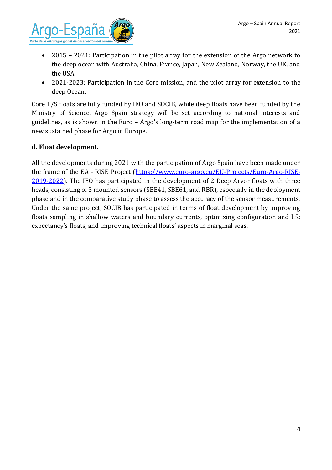

- 2015 2021: Participation in the pilot array for the extension of the Argo network to the deep ocean with Australia, China, France, Japan, New Zealand, Norway, the UK, and the USA.
- 2021-2023: Participation in the Core mission, and the pilot array for extension to the deep Ocean.

Core T/S floats are fully funded by IEO and SOCIB, while deep floats have been funded by the Ministry of Science. Argo Spain strategy will be set according to national interests and guidelines, as is shown in the Euro – Argo's long-term road map for the implementation of a new sustained phase for Argo in Europe.

#### **d. Float development.**

All the developments during 2021 with the participation of Argo Spain have been made under the frame of the EA - RISE Project [\(https://www.euro-argo.eu/EU-Projects/Euro-Argo-RISE-](https://www.euro-argo.eu/EU-Projects/Euro-Argo-RISE-2019-2022)[2019-2022\)](https://www.euro-argo.eu/EU-Projects/Euro-Argo-RISE-2019-2022). The IEO has participated in the development of 2 Deep Arvor floats with three heads, consisting of 3 mounted sensors (SBE41, SBE61, and RBR), especially in the deployment phase and in the comparative study phase to assess the accuracy of the sensor measurements. Under the same project, SOCIB has participated in terms of float development by improving floats sampling in shallow waters and boundary currents, optimizing configuration and life expectancy's floats, and improving technical floats' aspects in marginal seas.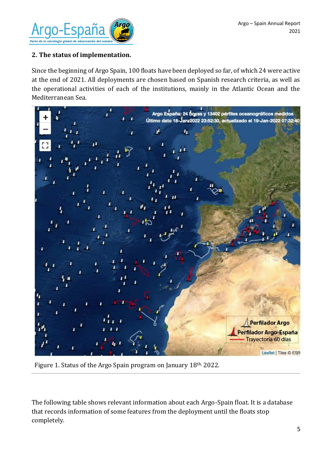

#### **2. The status of implementation.**

Since the beginning of Argo Spain, 100 floats have been deployed so far, of which 24 were active at the end of 2021. All deployments are chosen based on Spanish research criteria, as well as the operational activities of each of the institutions, mainly in the Atlantic Ocean and the Mediterranean Sea.



Figure 1. Status of the Argo Spain program on January 18th, 2022.

The following table shows relevant information about each Argo-Spain float. It is a database that records information of some features from the deployment until the floats stop completely.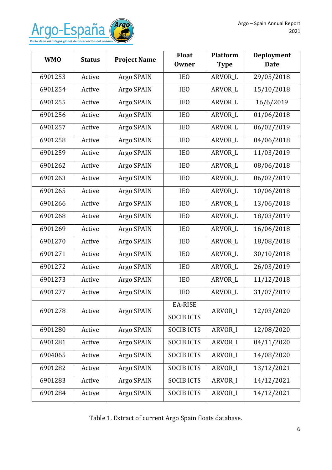

| <b>WMO</b> | <b>Status</b> | <b>Project Name</b> | <b>Float</b><br><b>Owner</b> | <b>Platform</b><br><b>Type</b> | Deployment<br><b>Date</b> |
|------------|---------------|---------------------|------------------------------|--------------------------------|---------------------------|
| 6901253    | Active        | Argo SPAIN          | <b>IEO</b>                   | ARVOR_L                        | 29/05/2018                |
| 6901254    | Active        | Argo SPAIN          | <b>IEO</b>                   | ARVOR_L                        | 15/10/2018                |
| 6901255    | Active        | Argo SPAIN          | <b>IEO</b>                   | ARVOR_L                        | 16/6/2019                 |
| 6901256    | Active        | Argo SPAIN          | IE <sub>0</sub>              | ARVOR_L                        | 01/06/2018                |
| 6901257    | Active        | Argo SPAIN          | <b>IEO</b>                   | ARVOR_L                        | 06/02/2019                |
| 6901258    | Active        | Argo SPAIN          | IE <sub>0</sub>              | ARVOR_L                        | 04/06/2018                |
| 6901259    | Active        | Argo SPAIN          | IE <sub>0</sub>              | ARVOR_L                        | 11/03/2019                |
| 6901262    | Active        | Argo SPAIN          | <b>IEO</b>                   | ARVOR_L                        | 08/06/2018                |
| 6901263    | Active        | Argo SPAIN          | <b>IEO</b>                   | <b>ARVOR L</b>                 | 06/02/2019                |
| 6901265    | Active        | Argo SPAIN          | <b>IEO</b>                   | ARVOR_L                        | 10/06/2018                |
| 6901266    | Active        | Argo SPAIN          | <b>IEO</b>                   | <b>ARVOR L</b>                 | 13/06/2018                |
| 6901268    | Active        | Argo SPAIN          | IE <sub>0</sub>              | ARVOR_L                        | 18/03/2019                |
| 6901269    | Active        | Argo SPAIN          | <b>IEO</b>                   | ARVOR_L                        | 16/06/2018                |
| 6901270    | Active        | Argo SPAIN          | IE <sub>0</sub>              | ARVOR_L                        | 18/08/2018                |
| 6901271    | Active        | Argo SPAIN          | <b>IEO</b>                   | ARVOR_L                        | 30/10/2018                |
| 6901272    | Active        | Argo SPAIN          | IE <sub>0</sub>              | ARVOR_L                        | 26/03/2019                |
| 6901273    | Active        | Argo SPAIN          | <b>IEO</b>                   | ARVOR_L                        | 11/12/2018                |
| 6901277    | Active        | Argo SPAIN          | IE <sub>0</sub>              | ARVOR_L                        | 31/07/2019                |
| 6901278    | Active        | Argo SPAIN          | <b>EA-RISE</b>               | ARVOR_I                        | 12/03/2020                |
|            |               |                     | <b>SOCIB ICTS</b>            |                                |                           |
| 6901280    | Active        | Argo SPAIN          | <b>SOCIBICTS</b>             | ARVOR <sub>I</sub>             | 12/08/2020                |
| 6901281    | Active        | Argo SPAIN          | <b>SOCIB ICTS</b>            | ARVOR <sub>I</sub>             | 04/11/2020                |
| 6904065    | Active        | Argo SPAIN          | <b>SOCIB ICTS</b>            | ARVOR <sub>I</sub>             | 14/08/2020                |
| 6901282    | Active        | Argo SPAIN          | <b>SOCIB ICTS</b>            | ARVOR <sub>I</sub>             | 13/12/2021                |
| 6901283    | Active        | Argo SPAIN          | <b>SOCIBICTS</b>             | ARVOR_I                        | 14/12/2021                |
| 6901284    | Active        | Argo SPAIN          | <b>SOCIB ICTS</b>            | ARVOR_I                        | 14/12/2021                |

Table 1. Extract of current Argo Spain floats database.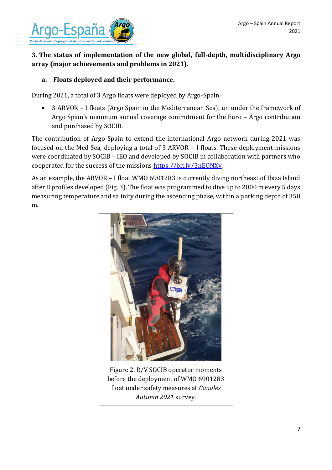

#### **3. The status of implementation of the new global, full-depth, multidisciplinary Argo array (major achievements and problems in 2021).**

#### **a. Floats deployed and their performance.**

During 2021, a total of 3 Argo floats were deployed by Argo-Spain:

• 3 ARVOR – I floats (Argo Spain in the Mediterranean Sea), un under the framework of Argo Spain's minimum annual coverage commitment for the Euro – Argo contribution and purchased by SOCIB.

The contribution of Argo Spain to extend the international Argo network during 2021 was focused on the Med Sea, deploying a total of 3 ARVOR – I floats. These deployment missions were coordinated by SOCIB – IEO and developed by SOCIB in collaboration with partners who cooperated for the success of the missions [https://bit.ly/3nEONXv.](https://bit.ly/3nEONXv)

As an example, the ARVOR – I float WMO 6901283 is currently diving northeast of Ibiza Island after 8 profiles developed (Fig. 3). The float was programmed to dive up to 2000 m every 5 days measuring temperature and salinity during the ascending phase, within a parking depth of 350 m.



Figure 2. R/V SOCIB operator moments before the deployment of WMO 6901283 float under safety measures at *Canales Autumn 2021* survey.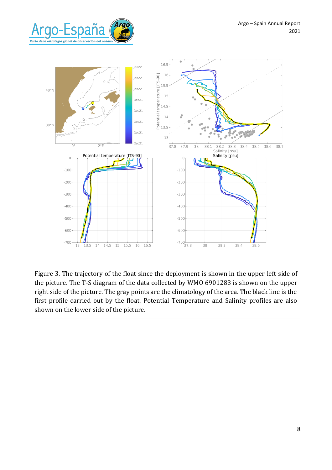



Figure 3. The trajectory of the float since the deployment is shown in the upper left side of the picture. The T-S diagram of the data collected by WMO 6901283 is shown on the upper right side of the picture. The gray points are the climatology of the area. The black line is the first profile carried out by the float. Potential Temperature and Salinity profiles are also shown on the lower side of the picture.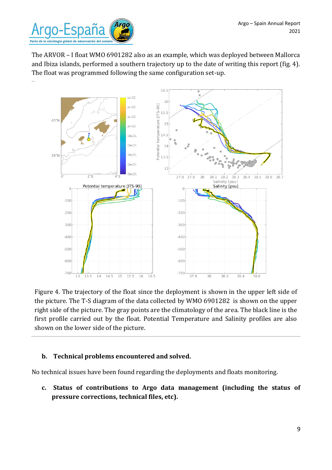

The ARVOR – I float WMO 6901282 also as an example, which was deployed between Mallorca and Ibiza islands, performed a southern trajectory up to the date of writing this report (fig. 4). The float was programmed following the same configuration set-up.



Figure 4. The trajectory of the float since the deployment is shown in the upper left side of the picture. The T-S diagram of the data collected by WMO 6901282 is shown on the upper right side of the picture. The gray points are the climatology of the area. The black line is the first profile carried out by the float. Potential Temperature and Salinity profiles are also shown on the lower side of the picture.

#### **b. Technical problems encountered and solved.**

No technical issues have been found regarding the deployments and floats monitoring.

**c. Status of contributions to Argo data management (including the status of pressure corrections, technical files, etc).**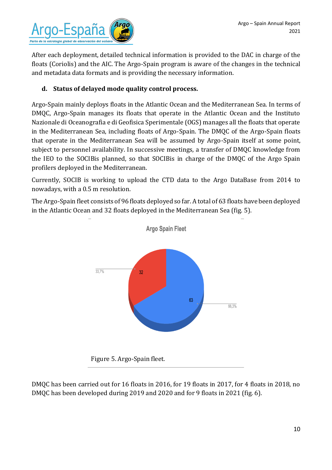

After each deployment, detailed technical information is provided to the DAC in charge of the floats (Coriolis) and the AIC. The Argo-Spain program is aware of the changes in the technical and metadata data formats and is providing the necessary information.

#### **d. Status of delayed mode quality control process.**

Argo-Spain mainly deploys floats in the Atlantic Ocean and the Mediterranean Sea. In terms of DMQC, Argo-Spain manages its floats that operate in the Atlantic Ocean and the Instituto Nazionale di Oceanografia e di Geofisica Sperimentale (OGS) manages all the floats that operate in the Mediterranean Sea, including floats of Argo-Spain. The DMQC of the Argo-Spain floats that operate in the Mediterranean Sea will be assumed by Argo-Spain itself at some point, subject to personnel availability. In successive meetings, a transfer of DMQC knowledge from the IEO to the SOCIBis planned, so that SOCIBis in charge of the DMQC of the Argo Spain profilers deployed in the Mediterranean.

Currently, SOCIB is working to upload the CTD data to the Argo DataBase from 2014 to nowadays, with a 0.5 m resolution.

The Argo-Spain fleet consists of 96 floats deployed so far. A total of 63 floats have been deployed in the Atlantic Ocean and 32 floats deployed in the Mediterranean Sea (fig. 5).



DMQC has been carried out for 16 floats in 2016, for 19 floats in 2017, for 4 floats in 2018, no DMQC has been developed during 2019 and 2020 and for 9 floats in 2021 (fig. 6).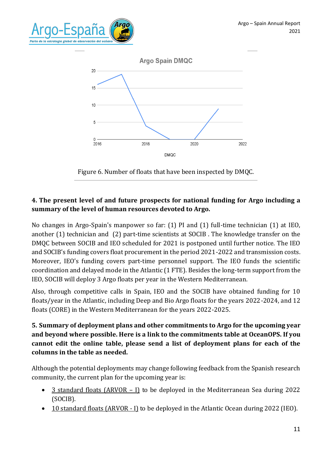



Figure 6. Number of floats that have been inspected by DMQC.

#### **4. The present level of and future prospects for national funding for Argo including a summary of the level of human resources devoted to Argo.**

No changes in Argo-Spain's manpower so far: (1) PI and (1) full-time technician (1) at IEO, another (1) technician and (2) part-time scientists at SOCIB . The knowledge transfer on the DMQC between SOCIB and IEO scheduled for 2021 is postponed until further notice. The IEO and SOCIB's funding covers float procurement in the period 2021-2022 and transmission costs. Moreover, IEO's funding covers part-time personnel support. The IEO funds the scientific coordination and delayed mode in the Atlantic (1 FTE). Besides the long-term support from the IEO, SOCIB will deploy 3 Argo floats per year in the Western Mediterranean.

Also, through competitive calls in Spain, IEO and the SOCIB have obtained funding for 10 floats/year in the Atlantic, including Deep and Bio Argo floats for the years 2022-2024, and 12 floats (CORE) in the Western Mediterranean for the years 2022-2025.

#### **5. Summary of deployment plans and other commitments to Argo for the upcoming year and beyond where possible. Here is a [link](https://www.ocean-ops.org/board/wa/CommitmentsModule?t=Argo) to the commitments table at OceanOPS. If you cannot edit the online table, please send a list of deployment plans for each of the columns in the table as needed.**

Although the potential deployments may change following feedback from the Spanish research community, the current plan for the upcoming year is:

- 3 standard floats (ARVOR I) to be deployed in the Mediterranean Sea during 2022 (SOCIB).
- 10 standard floats (ARVOR I) to be deployed in the Atlantic Ocean during 2022 (IEO).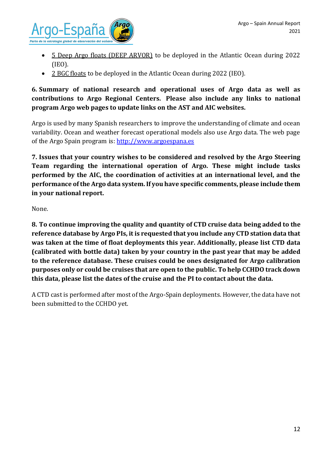

- 5 Deep Argo floats (DEEP ARVOR) to be deployed in the Atlantic Ocean during 2022 (IEO).
- 2 BGC floats to be deployed in the Atlantic Ocean during 2022 (IEO).

**6. Summary of national research and operational uses of Argo data as well as contributions to Argo Regional Centers. Please also include any links to national program Argo web pages to update links on the AST and AIC websites.**

Argo is used by many Spanish researchers to improve the understanding of climate and ocean variability. Ocean and weather forecast operational models also use Argo data. The web page of the Argo Spain program is[: http://www.argoespana.es](http://www.argoespana.es/)

**7. Issues that your country wishes to be considered and resolved by the Argo Steering Team regarding the international operation of Argo. These might include tasks performed by the AIC, the coordination of activities at an international level, and the performance of the Argo data system. If you have specific comments, please include them in your national report.**

None.

**8. To continue improving the quality and quantity of CTD cruise data being added to the reference database by Argo PIs, it is requested that you include any CTD station data that was taken at the time of float deployments this year. Additionally, please list CTD data (calibrated with bottle data) taken by your country in the past year that may be added to the reference database. These cruises could be ones designated for Argo calibration purposes only or could be cruises that are open to the public. To help CCHDO track down this data, please list the dates of the cruise and the PI to contact about the data.**

A CTD cast is performed after most of the Argo-Spain deployments. However, the data have not been submitted to the CCHDO yet.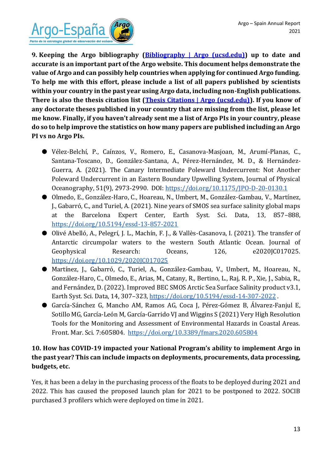

**9. Keeping the Argo bibliography [\(Bibliography | Argo \(ucsd.edu\)\)](https://argo.ucsd.edu/outreach/publications/bibliography/) up to date and accurate is an important part of the Argo website. This document helps demonstrate the value of Argo and can possibly help countries when applying for continued Argo funding. To help me with this effort, please include a list of all papers published by scientists within your country in the past year using Argo data, including non-English publications. There is also the thesis citation list [\(Thesis Citations | Argo \(ucsd.edu\)\)](https://argo.ucsd.edu/outreach/publications/thesis-citations/). If you know of any doctorate theses published in your country that are missing from the list, please let me know. Finally, if you haven't already sent me a list of Argo PIs in your country, please do so to help improve the statistics on how many papers are published including an Argo PI vs no Argo PIs.**

- Vélez-Belchí, P., Caínzos, V., Romero, E., Casanova-Masjoan, M., Arumí-Planas, C., Santana-Toscano, D., González-Santana, A., Pérez-Hernández, M. D., & Hernández-Guerra, A. (2021). The Canary Intermediate Poleward Undercurrent: Not Another Poleward Undercurrent in an Eastern Boundary Upwelling System, Journal of Physical Oceanography, 51(9), 2973-2990. DOI:<https://doi.org/10.1175/JPO-D-20-0130.1>
- Olmedo, E., González-Haro, C., Hoareau, N., Umbert, M., González-Gambau, V., Martínez, J., Gabarró, C., and Turiel, A. (2021). Nine years of SMOS sea surface salinity global maps at the Barcelona Expert Center, Earth Syst. Sci. Data, 13, 857–888, <https://doi.org/10.5194/essd-13-857-2021>
- Olivé Abelló, A., Pelegrí, J. L., Machín, F. J., & Vallès-Casanova, I. (2021). The transfer of Antarctic circumpolar waters to the western South Atlantic Ocean. Journal of Geophysical Research: Oceans, 126, e2020JC017025. <https://doi.org/10.1029/2020JC017025>
- Martínez, J., Gabarró, C., Turiel, A., González-Gambau, V., Umbert, M., Hoareau, N., González-Haro, C., Olmedo, E., Arias, M., Catany, R., Bertino, L., Raj, R. P., Xie, J., Sabia, R., and Fernández, D. (2022). Improved BEC SMOS Arctic Sea Surface Salinity product v3.1, Earth Syst. Sci. Data, 14, 307–323,<https://doi.org/10.5194/essd-14-307-2022> .
- García-Sánchez G, Mancho AM, Ramos AG, Coca J, Pérez-Gómez B, Álvarez-Fanjul E, Sotillo MG, García-León M, García-Garrido VJ and Wiggins S (2021) Very High Resolution Tools for the Monitoring and Assessment of Environmental Hazards in Coastal Areas. Front. Mar. Sci. 7:605804. <https://doi.org/10.3389/fmars.2020.605804>

#### **10. How has COVID-19 impacted your National Program's ability to implement Argo in the past year? This can include impacts on deployments, procurements, data processing, budgets, etc.**

Yes, it has been a delay in the purchasing process of the floats to be deployed during 2021 and 2022. This has caused the proposed launch plan for 2021 to be postponed to 2022. SOCIB purchased 3 profilers which were deployed on time in 2021.